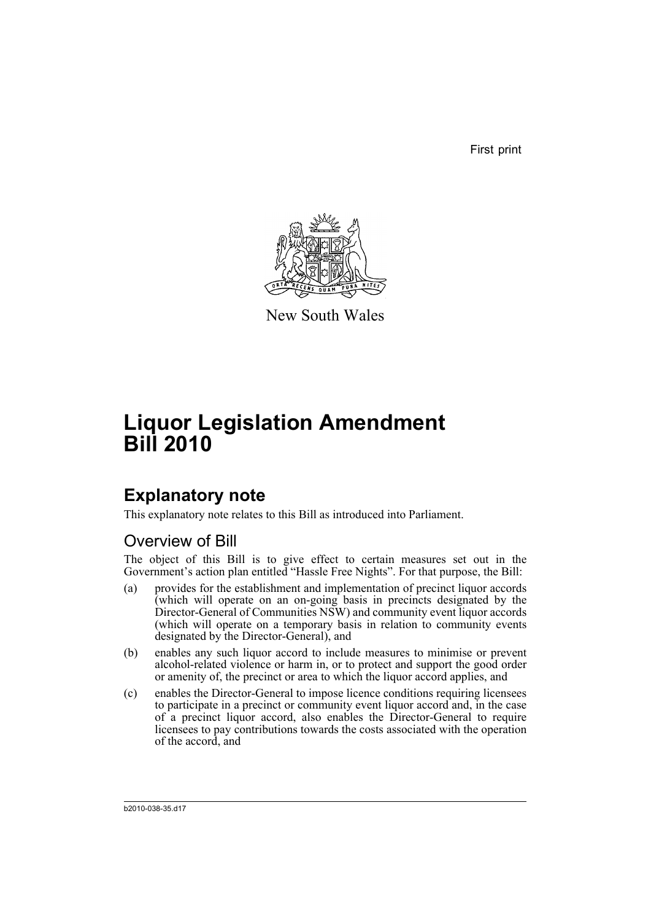First print



New South Wales

# **Liquor Legislation Amendment Bill 2010**

# **Explanatory note**

This explanatory note relates to this Bill as introduced into Parliament.

# Overview of Bill

The object of this Bill is to give effect to certain measures set out in the Government's action plan entitled "Hassle Free Nights". For that purpose, the Bill:

- (a) provides for the establishment and implementation of precinct liquor accords (which will operate on an on-going basis in precincts designated by the Director-General of Communities NSW) and community event liquor accords (which will operate on a temporary basis in relation to community events designated by the Director-General), and
- (b) enables any such liquor accord to include measures to minimise or prevent alcohol-related violence or harm in, or to protect and support the good order or amenity of, the precinct or area to which the liquor accord applies, and
- (c) enables the Director-General to impose licence conditions requiring licensees to participate in a precinct or community event liquor accord and, in the case of a precinct liquor accord, also enables the Director-General to require licensees to pay contributions towards the costs associated with the operation of the accord, and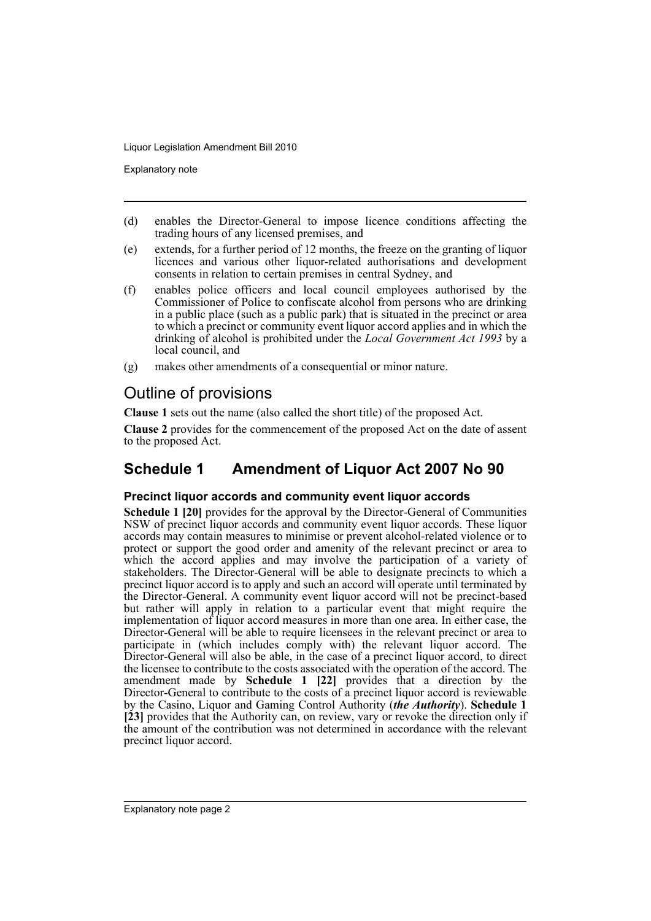Explanatory note

- (d) enables the Director-General to impose licence conditions affecting the trading hours of any licensed premises, and
- (e) extends, for a further period of 12 months, the freeze on the granting of liquor licences and various other liquor-related authorisations and development consents in relation to certain premises in central Sydney, and
- (f) enables police officers and local council employees authorised by the Commissioner of Police to confiscate alcohol from persons who are drinking in a public place (such as a public park) that is situated in the precinct or area to which a precinct or community event liquor accord applies and in which the drinking of alcohol is prohibited under the *Local Government Act 1993* by a local council, and
- (g) makes other amendments of a consequential or minor nature.

# Outline of provisions

**Clause 1** sets out the name (also called the short title) of the proposed Act.

**Clause 2** provides for the commencement of the proposed Act on the date of assent to the proposed Act.

# **Schedule 1 Amendment of Liquor Act 2007 No 90**

## **Precinct liquor accords and community event liquor accords**

**Schedule 1 [20]** provides for the approval by the Director-General of Communities NSW of precinct liquor accords and community event liquor accords. These liquor accords may contain measures to minimise or prevent alcohol-related violence or to protect or support the good order and amenity of the relevant precinct or area to which the accord applies and may involve the participation of a variety of stakeholders. The Director-General will be able to designate precincts to which a precinct liquor accord is to apply and such an accord will operate until terminated by the Director-General. A community event liquor accord will not be precinct-based but rather will apply in relation to a particular event that might require the implementation of liquor accord measures in more than one area. In either case, the Director-General will be able to require licensees in the relevant precinct or area to participate in (which includes comply with) the relevant liquor accord. The Director-General will also be able, in the case of a precinct liquor accord, to direct the licensee to contribute to the costs associated with the operation of the accord. The amendment made by **Schedule 1 [22]** provides that a direction by the Director-General to contribute to the costs of a precinct liquor accord is reviewable by the Casino, Liquor and Gaming Control Authority (*the Authority*). **Schedule 1 [23]** provides that the Authority can, on review, vary or revoke the direction only if the amount of the contribution was not determined in accordance with the relevant precinct liquor accord.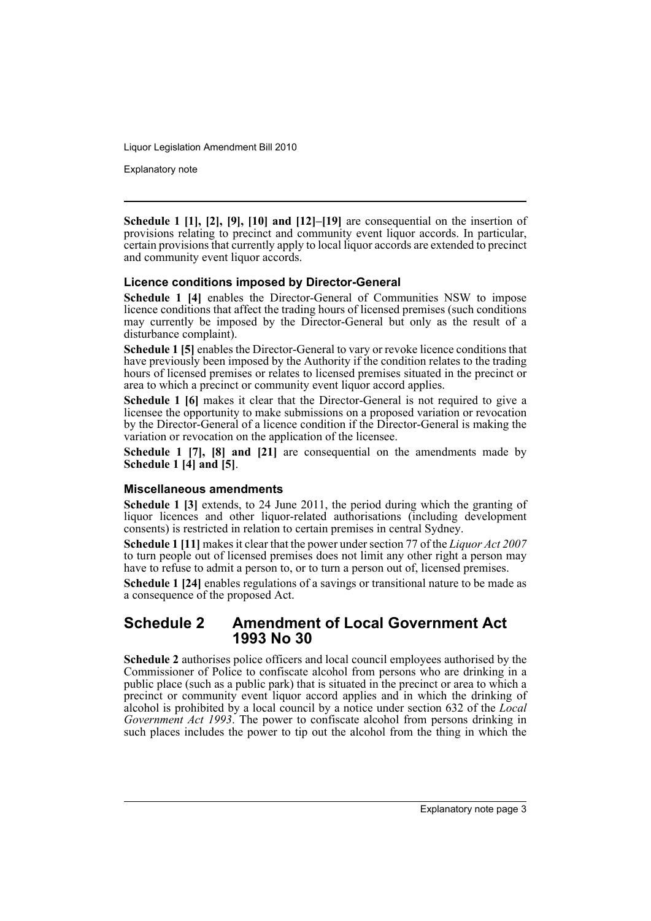Explanatory note

**Schedule 1 [1], [2], [9], [10] and [12]–[19]** are consequential on the insertion of provisions relating to precinct and community event liquor accords. In particular, certain provisions that currently apply to local liquor accords are extended to precinct and community event liquor accords.

## **Licence conditions imposed by Director-General**

**Schedule 1 [4]** enables the Director-General of Communities NSW to impose licence conditions that affect the trading hours of licensed premises (such conditions may currently be imposed by the Director-General but only as the result of a disturbance complaint).

**Schedule 1 [5]** enables the Director-General to vary or revoke licence conditions that have previously been imposed by the Authority if the condition relates to the trading hours of licensed premises or relates to licensed premises situated in the precinct or area to which a precinct or community event liquor accord applies.

**Schedule 1 [6]** makes it clear that the Director-General is not required to give a licensee the opportunity to make submissions on a proposed variation or revocation by the Director-General of a licence condition if the Director-General is making the variation or revocation on the application of the licensee.

**Schedule 1 [7], [8] and [21]** are consequential on the amendments made by **Schedule 1 [4] and [5]**.

### **Miscellaneous amendments**

**Schedule 1 [3]** extends, to 24 June 2011, the period during which the granting of liquor licences and other liquor-related authorisations (including development consents) is restricted in relation to certain premises in central Sydney.

**Schedule 1 [11]** makes it clear that the power under section 77 of the *Liquor Act 2007* to turn people out of licensed premises does not limit any other right a person may have to refuse to admit a person to, or to turn a person out of, licensed premises.

**Schedule 1 [24]** enables regulations of a savings or transitional nature to be made as a consequence of the proposed Act.

## **Schedule 2 Amendment of Local Government Act 1993 No 30**

**Schedule 2** authorises police officers and local council employees authorised by the Commissioner of Police to confiscate alcohol from persons who are drinking in a public place (such as a public park) that is situated in the precinct or area to which a precinct or community event liquor accord applies and in which the drinking of alcohol is prohibited by a local council by a notice under section 632 of the *Local Government Act 1993*. The power to confiscate alcohol from persons drinking in such places includes the power to tip out the alcohol from the thing in which the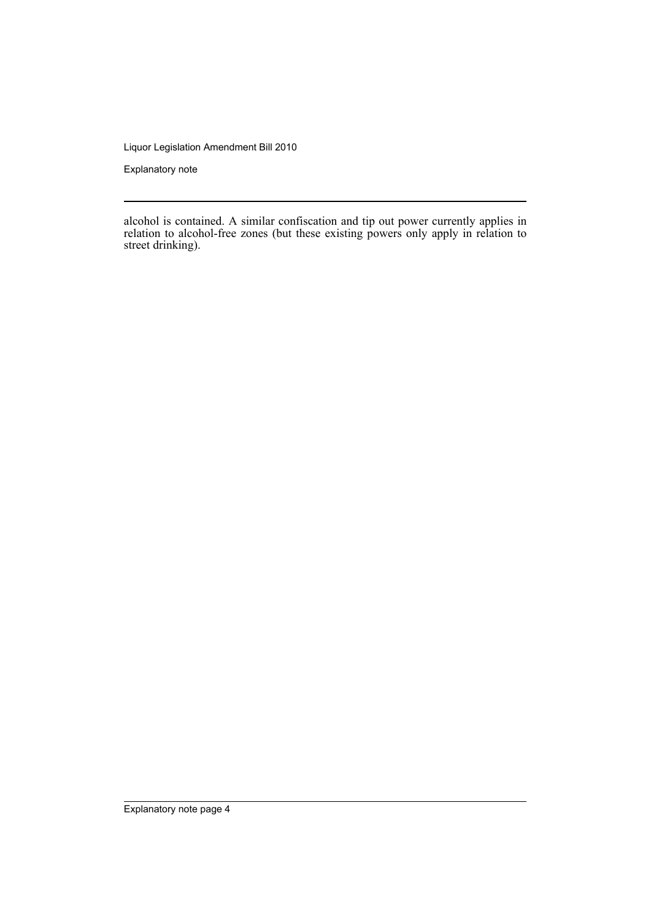Explanatory note

alcohol is contained. A similar confiscation and tip out power currently applies in relation to alcohol-free zones (but these existing powers only apply in relation to street drinking).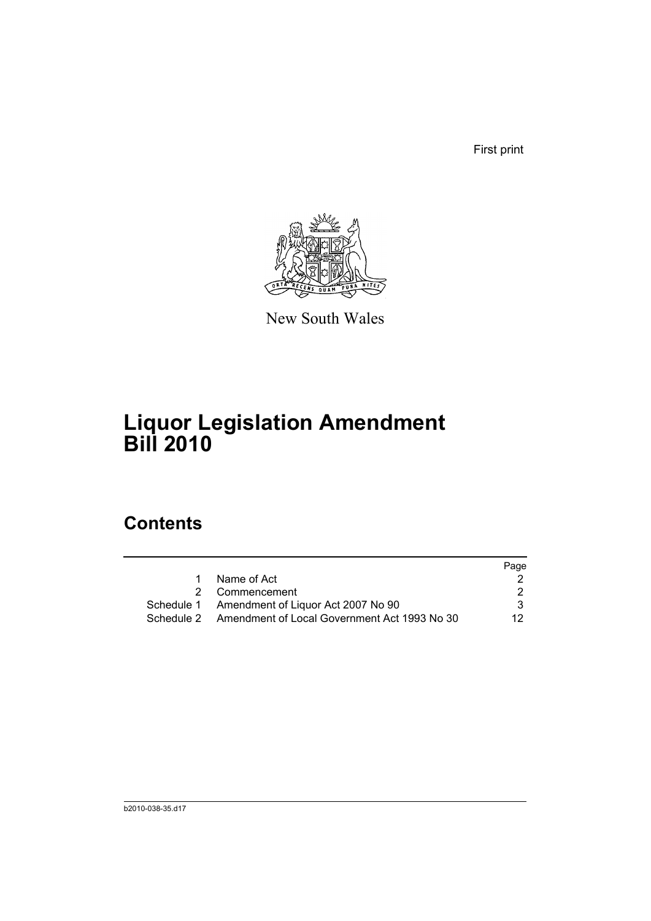First print



New South Wales

# **Liquor Legislation Amendment Bill 2010**

# **Contents**

|   |                                                         | Page |
|---|---------------------------------------------------------|------|
| 1 | Name of Act                                             |      |
|   | 2 Commencement                                          |      |
|   | Schedule 1 Amendment of Liquor Act 2007 No 90           |      |
|   | Schedule 2 Amendment of Local Government Act 1993 No 30 | 12.  |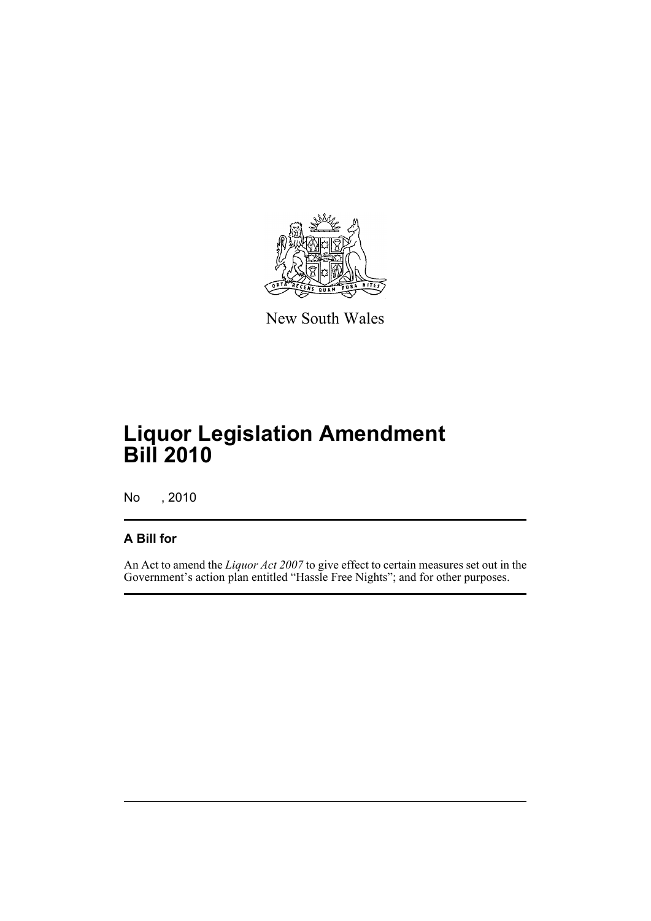

New South Wales

# **Liquor Legislation Amendment Bill 2010**

No , 2010

## **A Bill for**

An Act to amend the *Liquor Act 2007* to give effect to certain measures set out in the Government's action plan entitled "Hassle Free Nights"; and for other purposes.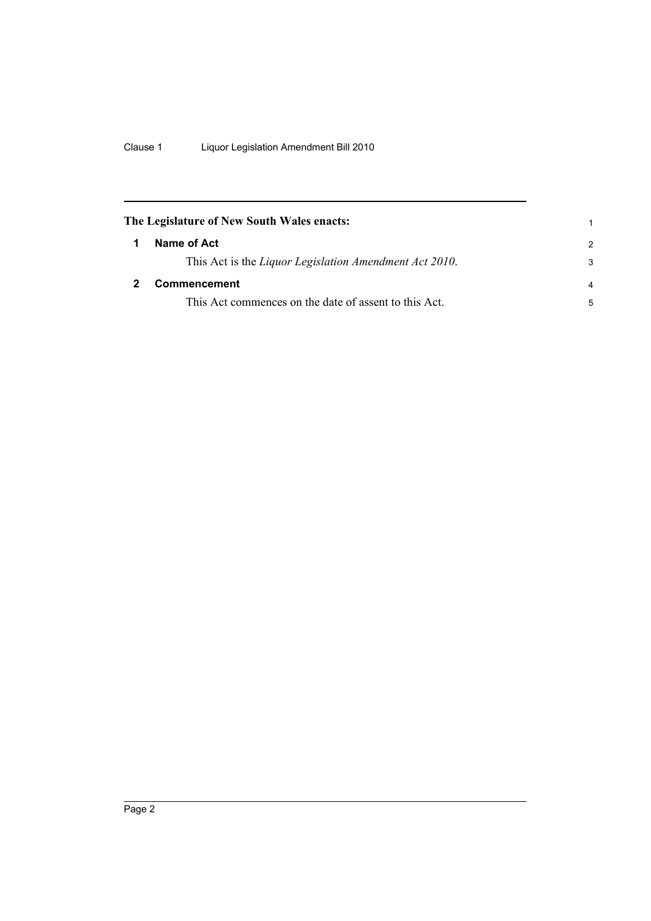<span id="page-7-1"></span><span id="page-7-0"></span>

|   | The Legislature of New South Wales enacts:             |                |
|---|--------------------------------------------------------|----------------|
| 1 | Name of Act                                            | $\mathcal{P}$  |
|   | This Act is the Liquor Legislation Amendment Act 2010. | 3              |
|   | <b>Commencement</b>                                    | $\overline{a}$ |
|   | This Act commences on the date of assent to this Act.  | 5              |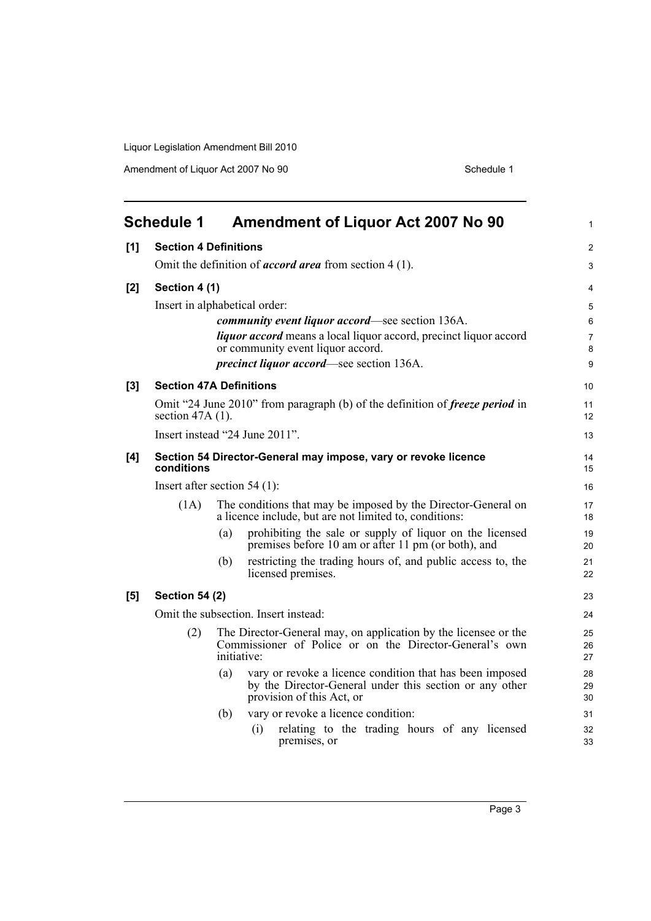<span id="page-8-0"></span>

|       | <b>Schedule 1</b>                                                                                         |                               |     | <b>Amendment of Liquor Act 2007 No 90</b>                                                                                                        | $\mathbf{1}$   |  |  |
|-------|-----------------------------------------------------------------------------------------------------------|-------------------------------|-----|--------------------------------------------------------------------------------------------------------------------------------------------------|----------------|--|--|
| [1]   | <b>Section 4 Definitions</b>                                                                              |                               |     |                                                                                                                                                  | 2              |  |  |
|       | Omit the definition of <i>accord area</i> from section $4(1)$ .                                           |                               |     |                                                                                                                                                  |                |  |  |
| $[2]$ | Section 4 (1)                                                                                             |                               |     |                                                                                                                                                  | 4              |  |  |
|       |                                                                                                           | Insert in alphabetical order: |     |                                                                                                                                                  |                |  |  |
|       |                                                                                                           |                               |     | <i>community event liquor accord—see section 136A.</i>                                                                                           | 6              |  |  |
|       |                                                                                                           |                               |     | <i>liquor accord</i> means a local liquor accord, precinct liquor accord<br>or community event liquor accord.                                    | $\overline{7}$ |  |  |
|       |                                                                                                           |                               |     | precinct liquor accord—see section 136A.                                                                                                         | 8<br>9         |  |  |
|       |                                                                                                           |                               |     |                                                                                                                                                  |                |  |  |
| [3]   | <b>Section 47A Definitions</b>                                                                            |                               |     |                                                                                                                                                  | 10             |  |  |
|       | Omit "24 June 2010" from paragraph (b) of the definition of <i>freeze period</i> in<br>section $47A(1)$ . |                               |     |                                                                                                                                                  |                |  |  |
|       | Insert instead "24 June 2011".                                                                            |                               |     |                                                                                                                                                  |                |  |  |
| [4]   | Section 54 Director-General may impose, vary or revoke licence<br>conditions                              |                               |     |                                                                                                                                                  |                |  |  |
|       | Insert after section $54(1)$ :                                                                            |                               |     |                                                                                                                                                  |                |  |  |
|       | (1A)                                                                                                      |                               |     | The conditions that may be imposed by the Director-General on<br>a licence include, but are not limited to, conditions:                          | 17<br>18       |  |  |
|       |                                                                                                           | (a)                           |     | prohibiting the sale or supply of liquor on the licensed<br>premises before 10 am or after 11 pm (or both), and                                  | 19<br>20       |  |  |
|       |                                                                                                           | (b)                           |     | restricting the trading hours of, and public access to, the<br>licensed premises.                                                                | 21<br>22       |  |  |
| [5]   | <b>Section 54 (2)</b>                                                                                     |                               |     |                                                                                                                                                  | 23             |  |  |
|       | Omit the subsection. Insert instead:                                                                      |                               |     |                                                                                                                                                  |                |  |  |
|       | (2)                                                                                                       | initiative:                   |     | The Director-General may, on application by the licensee or the<br>Commissioner of Police or on the Director-General's own                       | 25<br>26<br>27 |  |  |
|       |                                                                                                           | (a)                           |     | vary or revoke a licence condition that has been imposed<br>by the Director-General under this section or any other<br>provision of this Act, or | 28<br>29<br>30 |  |  |
|       |                                                                                                           | (b)                           |     | vary or revoke a licence condition:                                                                                                              | 31             |  |  |
|       |                                                                                                           |                               | (i) | relating to the trading hours of any licensed<br>premises, or                                                                                    | 32<br>33       |  |  |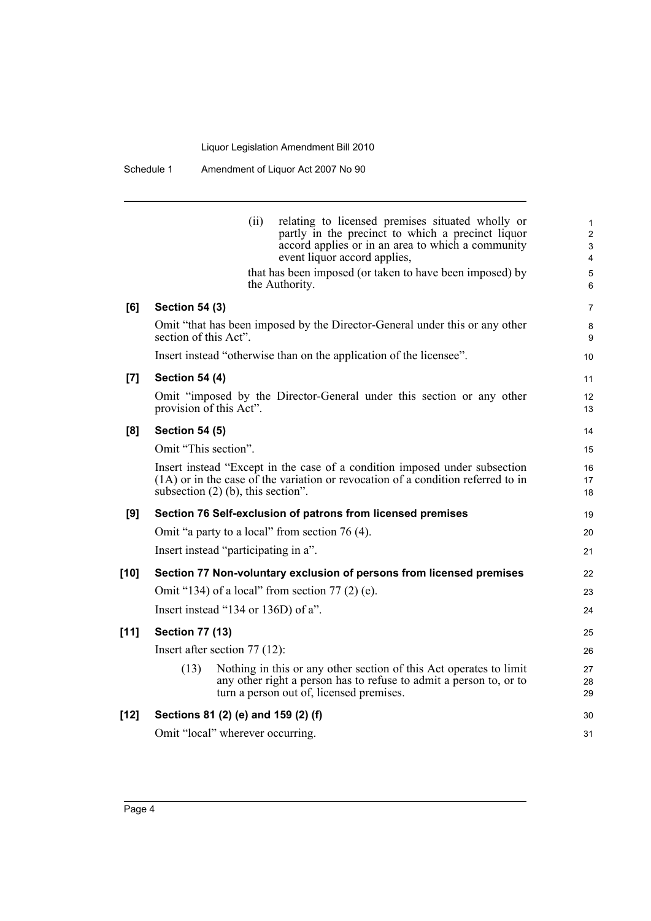Schedule 1 Amendment of Liquor Act 2007 No 90

|        | relating to licensed premises situated wholly or<br>(ii)<br>partly in the precinct to which a precinct liquor<br>accord applies or in an area to which a community<br>event liquor accord applies,<br>that has been imposed (or taken to have been imposed) by<br>the Authority. | 1<br>$\overline{c}$<br>3<br>4<br>5<br>6 |  |  |  |  |
|--------|----------------------------------------------------------------------------------------------------------------------------------------------------------------------------------------------------------------------------------------------------------------------------------|-----------------------------------------|--|--|--|--|
| [6]    | <b>Section 54 (3)</b>                                                                                                                                                                                                                                                            | 7                                       |  |  |  |  |
|        | Omit "that has been imposed by the Director-General under this or any other<br>section of this Act".                                                                                                                                                                             | 8<br>9                                  |  |  |  |  |
|        | Insert instead "otherwise than on the application of the licensee".                                                                                                                                                                                                              | 10                                      |  |  |  |  |
| [7]    | <b>Section 54 (4)</b>                                                                                                                                                                                                                                                            | 11                                      |  |  |  |  |
|        | Omit "imposed by the Director-General under this section or any other<br>provision of this Act".                                                                                                                                                                                 | 12<br>13                                |  |  |  |  |
| [8]    | <b>Section 54 (5)</b>                                                                                                                                                                                                                                                            | 14                                      |  |  |  |  |
|        | Omit "This section".                                                                                                                                                                                                                                                             | 15                                      |  |  |  |  |
|        | Insert instead "Except in the case of a condition imposed under subsection<br>$(1A)$ or in the case of the variation or revocation of a condition referred to in<br>subsection $(2)$ (b), this section".                                                                         | 16<br>17<br>18                          |  |  |  |  |
| [9]    | Section 76 Self-exclusion of patrons from licensed premises                                                                                                                                                                                                                      |                                         |  |  |  |  |
|        | Omit "a party to a local" from section 76 (4).                                                                                                                                                                                                                                   | 20                                      |  |  |  |  |
|        | Insert instead "participating in a".                                                                                                                                                                                                                                             | 21                                      |  |  |  |  |
| $[10]$ | Section 77 Non-voluntary exclusion of persons from licensed premises                                                                                                                                                                                                             | 22                                      |  |  |  |  |
|        | Omit "134) of a local" from section $77(2)$ (e).                                                                                                                                                                                                                                 | 23                                      |  |  |  |  |
|        | Insert instead "134 or 136D) of a".                                                                                                                                                                                                                                              | 24                                      |  |  |  |  |
| $[11]$ | <b>Section 77 (13)</b>                                                                                                                                                                                                                                                           | 25                                      |  |  |  |  |
|        | Insert after section 77 (12):                                                                                                                                                                                                                                                    | 26                                      |  |  |  |  |
|        | Nothing in this or any other section of this Act operates to limit<br>(13)<br>any other right a person has to refuse to admit a person to, or to<br>turn a person out of, licensed premises.                                                                                     | 27<br>28<br>29                          |  |  |  |  |
| $[12]$ | Sections 81 (2) (e) and 159 (2) (f)                                                                                                                                                                                                                                              | 30                                      |  |  |  |  |
|        | Omit "local" wherever occurring.                                                                                                                                                                                                                                                 | 31                                      |  |  |  |  |
|        |                                                                                                                                                                                                                                                                                  |                                         |  |  |  |  |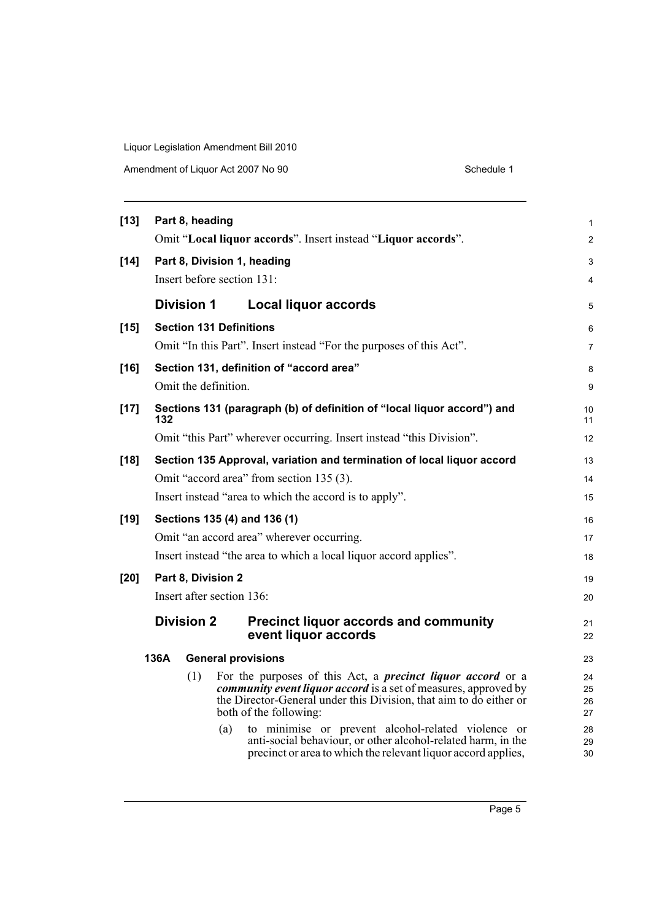| $[13]$ |                                                                   | Part 8, heading   |                                                                                                                                                                                                                                                                                                           | $\mathbf{1}$               |  |
|--------|-------------------------------------------------------------------|-------------------|-----------------------------------------------------------------------------------------------------------------------------------------------------------------------------------------------------------------------------------------------------------------------------------------------------------|----------------------------|--|
|        |                                                                   |                   | Omit "Local liquor accords". Insert instead "Liquor accords".                                                                                                                                                                                                                                             | 2                          |  |
| $[14]$ |                                                                   |                   | Part 8, Division 1, heading                                                                                                                                                                                                                                                                               | 3                          |  |
|        |                                                                   |                   | Insert before section 131:                                                                                                                                                                                                                                                                                | $\overline{4}$             |  |
|        |                                                                   | <b>Division 1</b> | <b>Local liquor accords</b>                                                                                                                                                                                                                                                                               | 5                          |  |
| $[15]$ |                                                                   |                   | <b>Section 131 Definitions</b>                                                                                                                                                                                                                                                                            | 6                          |  |
|        |                                                                   |                   | Omit "In this Part". Insert instead "For the purposes of this Act".                                                                                                                                                                                                                                       | 7                          |  |
| $[16]$ |                                                                   |                   | Section 131, definition of "accord area"                                                                                                                                                                                                                                                                  | 8                          |  |
|        |                                                                   |                   | Omit the definition.                                                                                                                                                                                                                                                                                      | 9                          |  |
| $[17]$ | 132                                                               |                   | Sections 131 (paragraph (b) of definition of "local liquor accord") and                                                                                                                                                                                                                                   | 10<br>11                   |  |
|        |                                                                   |                   | Omit "this Part" wherever occurring. Insert instead "this Division".                                                                                                                                                                                                                                      | 12                         |  |
| $[18]$ |                                                                   |                   | Section 135 Approval, variation and termination of local liquor accord                                                                                                                                                                                                                                    | 13                         |  |
|        |                                                                   |                   | Omit "accord area" from section 135 (3).                                                                                                                                                                                                                                                                  | 14                         |  |
|        | Insert instead "area to which the accord is to apply".            |                   |                                                                                                                                                                                                                                                                                                           |                            |  |
| $[19]$ |                                                                   |                   | Sections 135 (4) and 136 (1)                                                                                                                                                                                                                                                                              | 16                         |  |
|        |                                                                   |                   | Omit "an accord area" wherever occurring.                                                                                                                                                                                                                                                                 | 17                         |  |
|        | Insert instead "the area to which a local liquor accord applies". |                   |                                                                                                                                                                                                                                                                                                           |                            |  |
| [20]   | Part 8, Division 2                                                |                   |                                                                                                                                                                                                                                                                                                           |                            |  |
|        | Insert after section 136:                                         |                   |                                                                                                                                                                                                                                                                                                           |                            |  |
|        |                                                                   | <b>Division 2</b> | <b>Precinct liquor accords and community</b><br>event liquor accords                                                                                                                                                                                                                                      | 21<br>22                   |  |
|        | 136A                                                              |                   | <b>General provisions</b>                                                                                                                                                                                                                                                                                 | 23                         |  |
|        |                                                                   | (1)               | For the purposes of this Act, a <i>precinct liquor accord</i> or a<br><i>community event liquor accord</i> is a set of measures, approved by<br>the Director-General under this Division, that aim to do either or<br>both of the following:<br>to minimise or prevent alcohol-related violence or<br>(a) | 24<br>25<br>26<br>27<br>28 |  |
|        |                                                                   |                   | anti-social behaviour, or other alcohol-related harm, in the<br>precinct or area to which the relevant liquor accord applies,                                                                                                                                                                             | 29<br>30                   |  |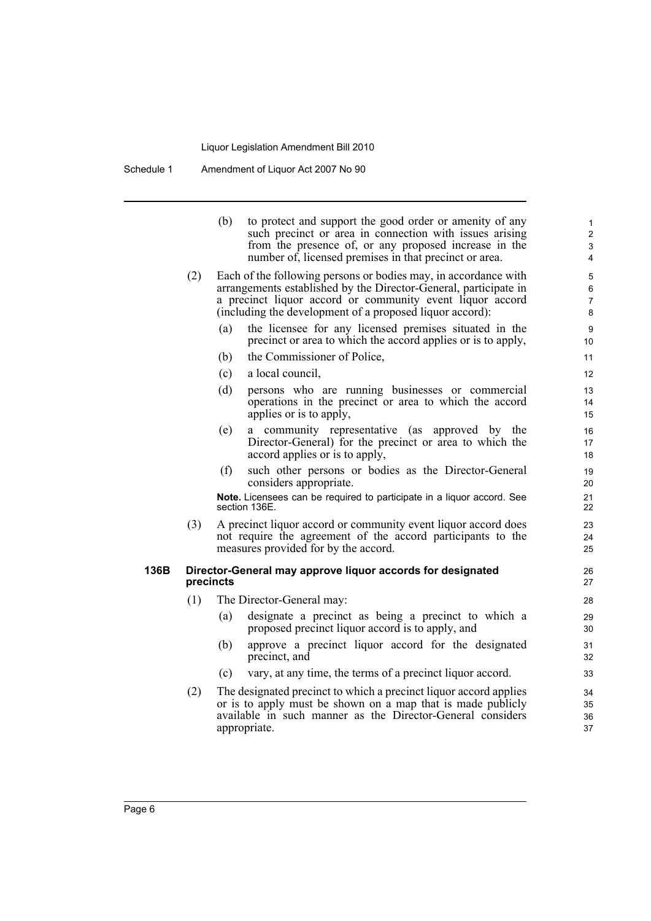|      | (b)<br>to protect and support the good order or amenity of any<br>such precinct or area in connection with issues arising<br>from the presence of, or any proposed increase in the<br>number of, licensed premises in that precinct or area.                 | $\mathbf{1}$<br>$\overline{2}$<br>3<br>$\overline{4}$ |
|------|--------------------------------------------------------------------------------------------------------------------------------------------------------------------------------------------------------------------------------------------------------------|-------------------------------------------------------|
| (2)  | Each of the following persons or bodies may, in accordance with<br>arrangements established by the Director-General, participate in<br>a precinct liquor accord or community event liquor accord<br>(including the development of a proposed liquor accord): | 5<br>6<br>$\overline{7}$<br>8                         |
|      | the licensee for any licensed premises situated in the<br>(a)<br>precinct or area to which the accord applies or is to apply,                                                                                                                                | 9<br>10                                               |
|      | the Commissioner of Police,<br>(b)                                                                                                                                                                                                                           | 11                                                    |
|      | (c)<br>a local council,                                                                                                                                                                                                                                      | 12                                                    |
|      | (d)<br>persons who are running businesses or commercial<br>operations in the precinct or area to which the accord<br>applies or is to apply,                                                                                                                 | 13<br>14<br>15                                        |
|      | (e)<br>a community representative (as approved by the<br>Director-General) for the precinct or area to which the<br>accord applies or is to apply,                                                                                                           | 16<br>17<br>18                                        |
|      | such other persons or bodies as the Director-General<br>(f)<br>considers appropriate.                                                                                                                                                                        | 19<br>20                                              |
|      | Note. Licensees can be required to participate in a liquor accord. See<br>section 136E.                                                                                                                                                                      | 21<br>22                                              |
| (3)  | A precinct liquor accord or community event liquor accord does<br>not require the agreement of the accord participants to the<br>measures provided for by the accord.                                                                                        | 23<br>24<br>25                                        |
| 136B | Director-General may approve liquor accords for designated<br>precincts                                                                                                                                                                                      | 26<br>27                                              |
| (1)  | The Director-General may:                                                                                                                                                                                                                                    | 28                                                    |
|      | designate a precinct as being a precinct to which a<br>(a)<br>proposed precinct liquor accord is to apply, and                                                                                                                                               | 29<br>30                                              |
|      | (b)<br>approve a precinct liquor accord for the designated<br>precinct, and                                                                                                                                                                                  | 31<br>32                                              |
|      | vary, at any time, the terms of a precinct liquor accord.<br>(c)                                                                                                                                                                                             | 33                                                    |
| (2)  | The designated precinct to which a precinct liquor accord applies<br>or is to apply must be shown on a map that is made publicly<br>available in such manner as the Director-General considers<br>appropriate.                                               | 34<br>35<br>36<br>37                                  |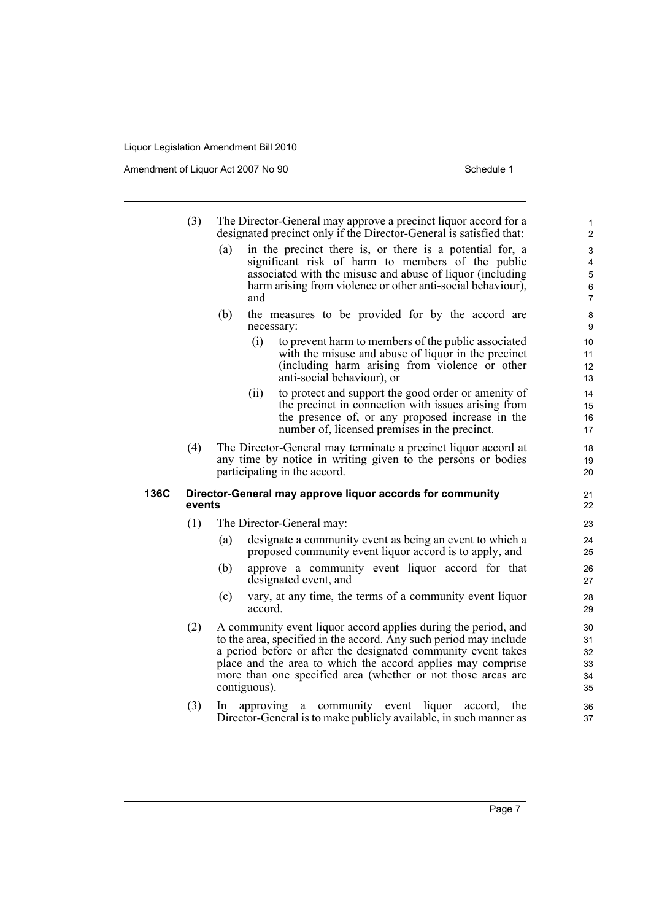|      | (3)    | The Director-General may approve a precinct liquor accord for a<br>designated precinct only if the Director-General is satisfied that:                                                                                                                                                                                                              | $\mathbf{1}$<br>$\mathbf{2}$                                               |  |  |
|------|--------|-----------------------------------------------------------------------------------------------------------------------------------------------------------------------------------------------------------------------------------------------------------------------------------------------------------------------------------------------------|----------------------------------------------------------------------------|--|--|
|      |        | in the precinct there is, or there is a potential for, a<br>(a)<br>significant risk of harm to members of the public<br>associated with the misuse and abuse of liquor (including<br>harm arising from violence or other anti-social behaviour),<br>and                                                                                             | $\ensuremath{\mathsf{3}}$<br>4<br>$\mathbf 5$<br>$\,6\,$<br>$\overline{7}$ |  |  |
|      |        | (b)<br>the measures to be provided for by the accord are<br>necessary:                                                                                                                                                                                                                                                                              | $\bf 8$<br>$\boldsymbol{9}$                                                |  |  |
|      |        | (i)<br>to prevent harm to members of the public associated<br>with the misuse and abuse of liquor in the precinct<br>(including harm arising from violence or other<br>anti-social behaviour), or                                                                                                                                                   | 10<br>11<br>12<br>13                                                       |  |  |
|      |        | to protect and support the good order or amenity of<br>(ii)<br>the precinct in connection with issues arising from<br>the presence of, or any proposed increase in the<br>number of, licensed premises in the precinct.                                                                                                                             | 14<br>15<br>16<br>17                                                       |  |  |
|      | (4)    | The Director-General may terminate a precinct liquor accord at<br>any time by notice in writing given to the persons or bodies<br>participating in the accord.                                                                                                                                                                                      | 18<br>19<br>20                                                             |  |  |
| 136C | events | Director-General may approve liquor accords for community                                                                                                                                                                                                                                                                                           | 21<br>22                                                                   |  |  |
|      | (1)    | The Director-General may:                                                                                                                                                                                                                                                                                                                           | 23                                                                         |  |  |
|      |        | (a)<br>designate a community event as being an event to which a<br>proposed community event liquor accord is to apply, and                                                                                                                                                                                                                          | 24<br>25                                                                   |  |  |
|      |        | (b)<br>approve a community event liquor accord for that<br>designated event, and                                                                                                                                                                                                                                                                    | 26<br>27                                                                   |  |  |
|      |        | (c)<br>vary, at any time, the terms of a community event liquor<br>accord.                                                                                                                                                                                                                                                                          | 28<br>29                                                                   |  |  |
|      | (2)    | A community event liquor accord applies during the period, and<br>to the area, specified in the accord. Any such period may include<br>a period before or after the designated community event takes<br>place and the area to which the accord applies may comprise<br>more than one specified area (whether or not those areas are<br>contiguous). |                                                                            |  |  |
|      | (3)    | community event liquor<br>the<br>approving a<br>accord,<br><sub>In</sub><br>Director-General is to make publicly available, in such manner as                                                                                                                                                                                                       | 36<br>37                                                                   |  |  |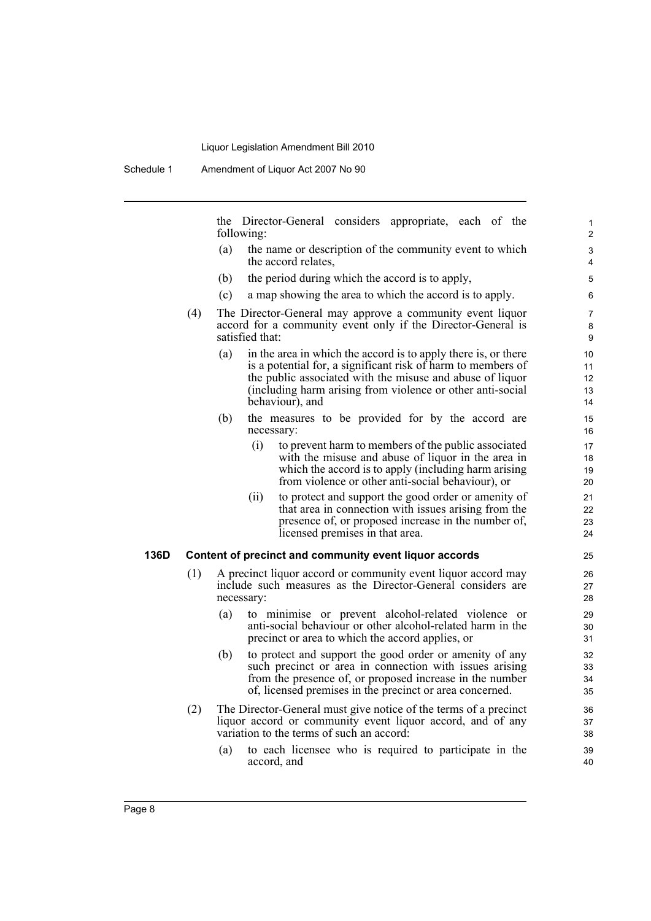the Director-General considers appropriate, each of the following:

(a) the name or description of the community event to which the accord relates,

- (b) the period during which the accord is to apply,
- (c) a map showing the area to which the accord is to apply.
- (4) The Director-General may approve a community event liquor accord for a community event only if the Director-General is satisfied that:
	- (a) in the area in which the accord is to apply there is, or there is a potential for, a significant risk of harm to members of the public associated with the misuse and abuse of liquor (including harm arising from violence or other anti-social behaviour), and
	- (b) the measures to be provided for by the accord are necessary:
		- (i) to prevent harm to members of the public associated with the misuse and abuse of liquor in the area in which the accord is to apply (including harm arising from violence or other anti-social behaviour), or
		- (ii) to protect and support the good order or amenity of that area in connection with issues arising from the presence of, or proposed increase in the number of, licensed premises in that area.

#### **136D Content of precinct and community event liquor accords**

- (1) A precinct liquor accord or community event liquor accord may include such measures as the Director-General considers are necessary:
	- (a) to minimise or prevent alcohol-related violence or anti-social behaviour or other alcohol-related harm in the precinct or area to which the accord applies, or
	- (b) to protect and support the good order or amenity of any such precinct or area in connection with issues arising from the presence of, or proposed increase in the number of, licensed premises in the precinct or area concerned.
- (2) The Director-General must give notice of the terms of a precinct liquor accord or community event liquor accord, and of any variation to the terms of such an accord:
	- (a) to each licensee who is required to participate in the accord, and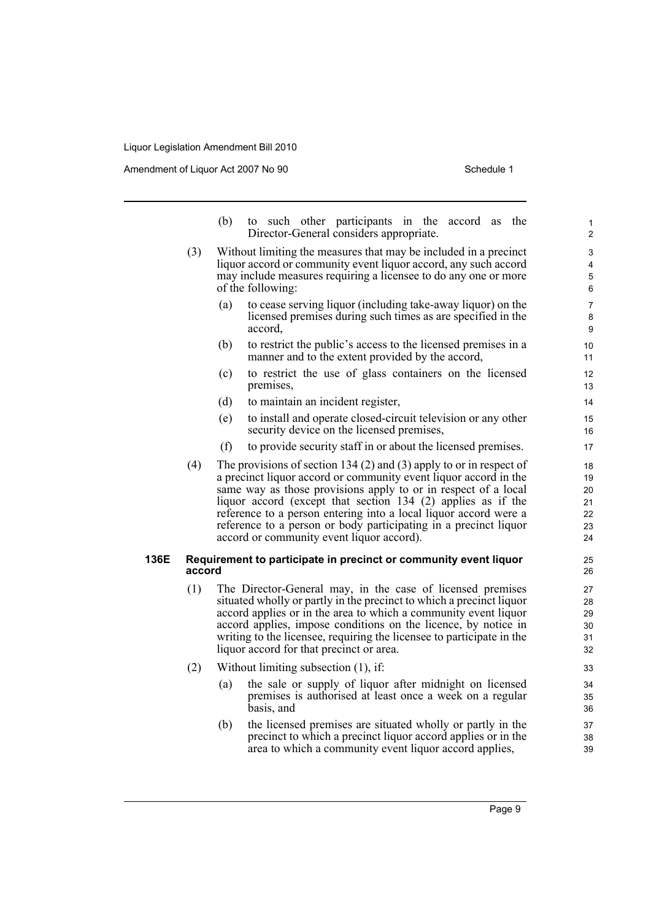|      |        | (b)                                                                                                                                                                                                                                                                                                                                                                                          | to such other participants in the accord as the<br>Director-General considers appropriate.                                                                                                                                                                                                                                                                                                                                                                     | 1<br>$\overline{2}$                    |  |  |  |
|------|--------|----------------------------------------------------------------------------------------------------------------------------------------------------------------------------------------------------------------------------------------------------------------------------------------------------------------------------------------------------------------------------------------------|----------------------------------------------------------------------------------------------------------------------------------------------------------------------------------------------------------------------------------------------------------------------------------------------------------------------------------------------------------------------------------------------------------------------------------------------------------------|----------------------------------------|--|--|--|
|      | (3)    |                                                                                                                                                                                                                                                                                                                                                                                              | Without limiting the measures that may be included in a precinct<br>liquor accord or community event liquor accord, any such accord<br>may include measures requiring a licensee to do any one or more<br>of the following:                                                                                                                                                                                                                                    | 3<br>4<br>5<br>6                       |  |  |  |
|      |        | (a)                                                                                                                                                                                                                                                                                                                                                                                          | to cease serving liquor (including take-away liquor) on the<br>licensed premises during such times as are specified in the<br>accord.                                                                                                                                                                                                                                                                                                                          | 7<br>8<br>9                            |  |  |  |
|      |        | (b)                                                                                                                                                                                                                                                                                                                                                                                          | to restrict the public's access to the licensed premises in a<br>manner and to the extent provided by the accord,                                                                                                                                                                                                                                                                                                                                              | 10<br>11                               |  |  |  |
|      |        | (c)                                                                                                                                                                                                                                                                                                                                                                                          | to restrict the use of glass containers on the licensed<br>premises,                                                                                                                                                                                                                                                                                                                                                                                           | 12<br>13                               |  |  |  |
|      |        | (d)                                                                                                                                                                                                                                                                                                                                                                                          | to maintain an incident register,                                                                                                                                                                                                                                                                                                                                                                                                                              | 14                                     |  |  |  |
|      |        | (e)                                                                                                                                                                                                                                                                                                                                                                                          | to install and operate closed-circuit television or any other<br>security device on the licensed premises,                                                                                                                                                                                                                                                                                                                                                     | 15<br>16                               |  |  |  |
|      |        | (f)                                                                                                                                                                                                                                                                                                                                                                                          | to provide security staff in or about the licensed premises.                                                                                                                                                                                                                                                                                                                                                                                                   | 17                                     |  |  |  |
|      | (4)    |                                                                                                                                                                                                                                                                                                                                                                                              | The provisions of section 134 (2) and (3) apply to or in respect of<br>a precinct liquor accord or community event liquor accord in the<br>same way as those provisions apply to or in respect of a local<br>liquor accord (except that section 134 (2) applies as if the<br>reference to a person entering into a local liquor accord were a<br>reference to a person or body participating in a precinct liquor<br>accord or community event liquor accord). | 18<br>19<br>20<br>21<br>22<br>23<br>24 |  |  |  |
| 136E | accord |                                                                                                                                                                                                                                                                                                                                                                                              | Requirement to participate in precinct or community event liquor                                                                                                                                                                                                                                                                                                                                                                                               | 25<br>26                               |  |  |  |
|      | (1)    | The Director-General may, in the case of licensed premises<br>situated wholly or partly in the precinct to which a precinct liquor<br>accord applies or in the area to which a community event liquor<br>accord applies, impose conditions on the licence, by notice in<br>writing to the licensee, requiring the licensee to participate in the<br>liquor accord for that precinct or area. |                                                                                                                                                                                                                                                                                                                                                                                                                                                                |                                        |  |  |  |
|      | (2)    |                                                                                                                                                                                                                                                                                                                                                                                              | Without limiting subsection $(1)$ , if:                                                                                                                                                                                                                                                                                                                                                                                                                        | 33                                     |  |  |  |
|      |        | (a)                                                                                                                                                                                                                                                                                                                                                                                          | the sale or supply of liquor after midnight on licensed<br>premises is authorised at least once a week on a regular<br>basis, and                                                                                                                                                                                                                                                                                                                              | 34<br>35<br>36                         |  |  |  |
|      |        | (b)                                                                                                                                                                                                                                                                                                                                                                                          | the licensed premises are situated wholly or partly in the<br>precinct to which a precinct liquor accord applies or in the<br>area to which a community event liquor accord applies,                                                                                                                                                                                                                                                                           | 37<br>38<br>39                         |  |  |  |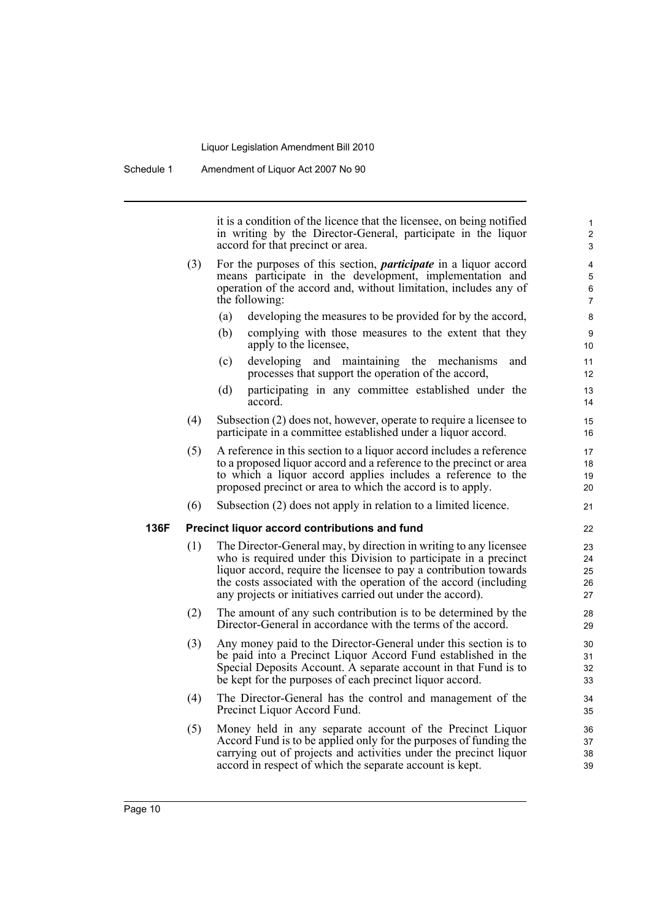it is a condition of the licence that the licensee, on being notified in writing by the Director-General, participate in the liquor accord for that precinct or area.

- (3) For the purposes of this section, *participate* in a liquor accord means participate in the development, implementation and operation of the accord and, without limitation, includes any of the following:
	- (a) developing the measures to be provided for by the accord,
	- (b) complying with those measures to the extent that they apply to the licensee,
	- (c) developing and maintaining the mechanisms and processes that support the operation of the accord,
	- (d) participating in any committee established under the accord.
- (4) Subsection (2) does not, however, operate to require a licensee to participate in a committee established under a liquor accord.
- (5) A reference in this section to a liquor accord includes a reference to a proposed liquor accord and a reference to the precinct or area to which a liquor accord applies includes a reference to the proposed precinct or area to which the accord is to apply.
- (6) Subsection (2) does not apply in relation to a limited licence.

#### **136F Precinct liquor accord contributions and fund**

- (1) The Director-General may, by direction in writing to any licensee who is required under this Division to participate in a precinct liquor accord, require the licensee to pay a contribution towards the costs associated with the operation of the accord (including any projects or initiatives carried out under the accord).
- (2) The amount of any such contribution is to be determined by the Director-General in accordance with the terms of the accord.
- (3) Any money paid to the Director-General under this section is to be paid into a Precinct Liquor Accord Fund established in the Special Deposits Account. A separate account in that Fund is to be kept for the purposes of each precinct liquor accord.
- (4) The Director-General has the control and management of the Precinct Liquor Accord Fund.
- (5) Money held in any separate account of the Precinct Liquor Accord Fund is to be applied only for the purposes of funding the carrying out of projects and activities under the precinct liquor accord in respect of which the separate account is kept.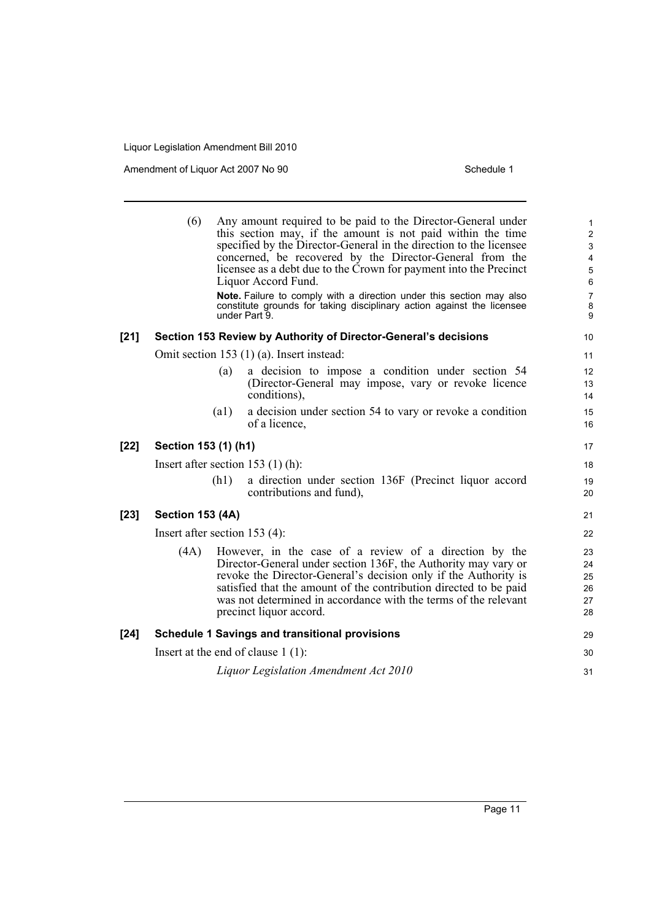|        | (6)                                  |      | Any amount required to be paid to the Director-General under<br>this section may, if the amount is not paid within the time<br>specified by the Director-General in the direction to the licensee<br>concerned, be recovered by the Director-General from the<br>licensee as a debt due to the Crown for payment into the Precinct<br>Liquor Accord Fund.<br>Note. Failure to comply with a direction under this section may also<br>constitute grounds for taking disciplinary action against the licensee<br>under Part 9. | 1<br>$\overline{\mathbf{c}}$<br>3<br>4<br>5<br>6<br>7<br>8<br>9 |  |
|--------|--------------------------------------|------|------------------------------------------------------------------------------------------------------------------------------------------------------------------------------------------------------------------------------------------------------------------------------------------------------------------------------------------------------------------------------------------------------------------------------------------------------------------------------------------------------------------------------|-----------------------------------------------------------------|--|
| [21]   |                                      |      | Section 153 Review by Authority of Director-General's decisions                                                                                                                                                                                                                                                                                                                                                                                                                                                              | 10                                                              |  |
|        |                                      |      | Omit section 153 (1) (a). Insert instead:                                                                                                                                                                                                                                                                                                                                                                                                                                                                                    | 11                                                              |  |
|        |                                      | (a)  | a decision to impose a condition under section 54<br>(Director-General may impose, vary or revoke licence<br>conditions),                                                                                                                                                                                                                                                                                                                                                                                                    | 12<br>13<br>14                                                  |  |
|        |                                      | (a1) | a decision under section 54 to vary or revoke a condition<br>of a licence,                                                                                                                                                                                                                                                                                                                                                                                                                                                   | 15<br>16                                                        |  |
| $[22]$ | Section 153 (1) (h1)                 |      |                                                                                                                                                                                                                                                                                                                                                                                                                                                                                                                              | 17                                                              |  |
|        |                                      |      | Insert after section $153$ (1) (h):                                                                                                                                                                                                                                                                                                                                                                                                                                                                                          | 18                                                              |  |
|        |                                      | (h1) | a direction under section 136F (Precinct liquor accord<br>contributions and fund),                                                                                                                                                                                                                                                                                                                                                                                                                                           | 19<br>20                                                        |  |
| $[23]$ | <b>Section 153 (4A)</b>              |      |                                                                                                                                                                                                                                                                                                                                                                                                                                                                                                                              | 21                                                              |  |
|        | Insert after section 153 $(4)$ :     |      |                                                                                                                                                                                                                                                                                                                                                                                                                                                                                                                              |                                                                 |  |
|        | (4A)                                 |      | However, in the case of a review of a direction by the<br>Director-General under section 136F, the Authority may vary or<br>revoke the Director-General's decision only if the Authority is<br>satisfied that the amount of the contribution directed to be paid<br>was not determined in accordance with the terms of the relevant<br>precinct liquor accord.                                                                                                                                                               | 23<br>24<br>25<br>26<br>27<br>28                                |  |
| [24]   |                                      |      | <b>Schedule 1 Savings and transitional provisions</b>                                                                                                                                                                                                                                                                                                                                                                                                                                                                        | 29                                                              |  |
|        | Insert at the end of clause $1(1)$ : |      |                                                                                                                                                                                                                                                                                                                                                                                                                                                                                                                              |                                                                 |  |
|        |                                      |      | Liquor Legislation Amendment Act 2010                                                                                                                                                                                                                                                                                                                                                                                                                                                                                        | 31                                                              |  |
|        |                                      |      |                                                                                                                                                                                                                                                                                                                                                                                                                                                                                                                              |                                                                 |  |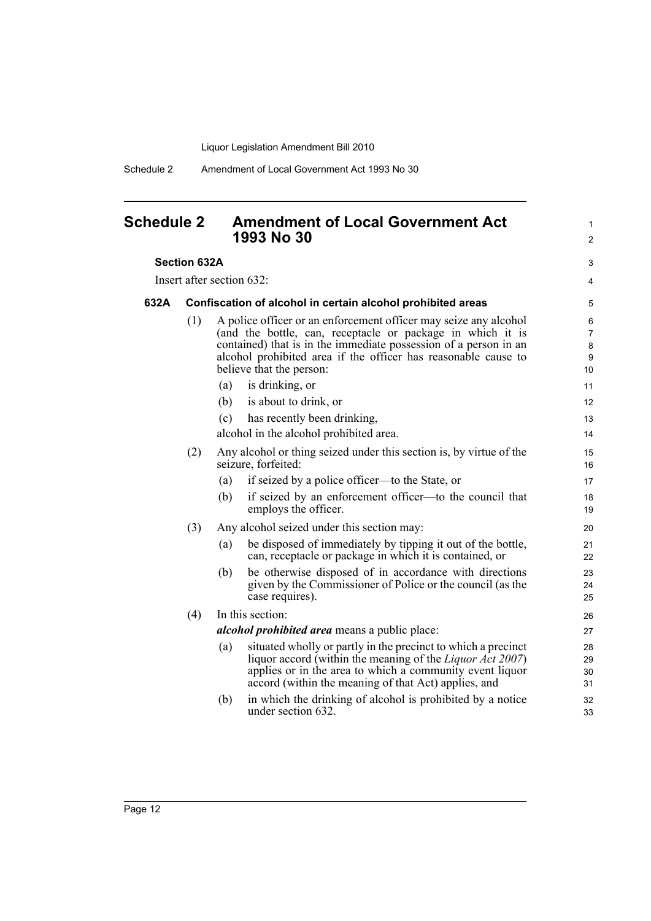Schedule 2 Amendment of Local Government Act 1993 No 30

## <span id="page-17-0"></span>**Schedule 2 Amendment of Local Government Act 1993 No 30**

#### **Section 632A**

Insert after section 632:

#### **632A Confiscation of alcohol in certain alcohol prohibited areas**

(1) A police officer or an enforcement officer may seize any alcohol (and the bottle, can, receptacle or package in which it is contained) that is in the immediate possession of a person in an alcohol prohibited area if the officer has reasonable cause to believe that the person:

1  $\mathfrak{p}$ 

3 4

- (a) is drinking, or (b) is about to drink, or (c) has recently been drinking, alcohol in the alcohol prohibited area. (2) Any alcohol or thing seized under this section is, by virtue of the seizure, forfeited: (a) if seized by a police officer—to the State, or (b) if seized by an enforcement officer—to the council that employs the officer.
- (3) Any alcohol seized under this section may:
	- (a) be disposed of immediately by tipping it out of the bottle, can, receptacle or package in which it is contained, or
	- (b) be otherwise disposed of in accordance with directions given by the Commissioner of Police or the council (as the case requires).

## (4) In this section:

*alcohol prohibited area* means a public place:

- (a) situated wholly or partly in the precinct to which a precinct liquor accord (within the meaning of the *Liquor Act 2007*) applies or in the area to which a community event liquor accord (within the meaning of that Act) applies, and
- (b) in which the drinking of alcohol is prohibited by a notice under section 632.